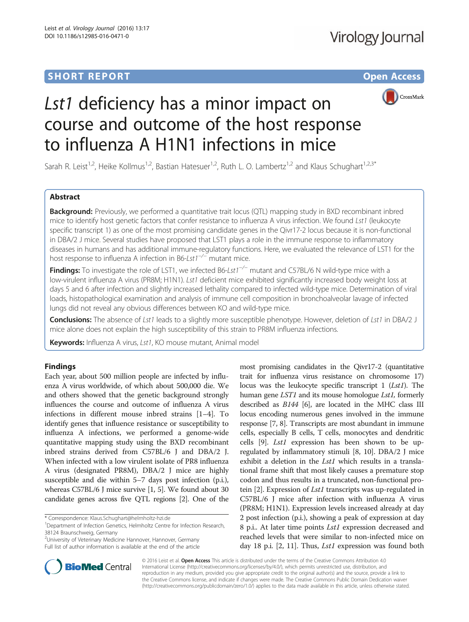# **SHORT REPORT SHORT CONSUMING THE CONSUMING THE CONSUMING THE CONSUMING THE CONSUMING THE CONSUMING THE CONSUMING THE CONSUMING THE CONSUMING THE CONSUMING THE CONSUMING THE CONSUMING THE CONSUMING THE CONSUMING THE CONS**



# Lst1 deficiency has a minor impact on course and outcome of the host response to influenza A H1N1 infections in mice

Sarah R. Leist<sup>1,2</sup>, Heike Kollmus<sup>1,2</sup>, Bastian Hatesuer<sup>1,2</sup>, Ruth L. O. Lambertz<sup>1,2</sup> and Klaus Schughart<sup>1,2,3\*</sup>

## Abstract

**Background:** Previously, we performed a quantitative trait locus (QTL) mapping study in BXD recombinant inbred mice to identify host genetic factors that confer resistance to influenza A virus infection. We found Lst1 (leukocyte specific transcript 1) as one of the most promising candidate genes in the Qivr17-2 locus because it is non-functional in DBA/2 J mice. Several studies have proposed that LST1 plays a role in the immune response to inflammatory diseases in humans and has additional immune-regulatory functions. Here, we evaluated the relevance of LST1 for the host response to influenza A infection in B6-Lst1−/<sup>−</sup> mutant mice.

Findings: To investigate the role of LST1, we infected B6-Lst1<sup>-/−</sup> mutant and C57BL/6 N wild-type mice with a low-virulent influenza A virus (PR8M; H1N1). Lst1 deficient mice exhibited significantly increased body weight loss at days 5 and 6 after infection and slightly increased lethality compared to infected wild-type mice. Determination of viral loads, histopathological examination and analysis of immune cell composition in bronchoalveolar lavage of infected lungs did not reveal any obvious differences between KO and wild-type mice.

Conclusions: The absence of Lst1 leads to a slightly more susceptible phenotype. However, deletion of Lst1 in DBA/2 J mice alone does not explain the high susceptibility of this strain to PR8M influenza infections.

Keywords: Influenza A virus, Lst1, KO mouse mutant, Animal model

## Findings

Each year, about 500 million people are infected by influenza A virus worldwide, of which about 500,000 die. We and others showed that the genetic background strongly influences the course and outcome of influenza A virus infections in different mouse inbred strains [[1](#page--1-0)–[4](#page--1-0)]. To identify genes that influence resistance or susceptibility to influenza A infections, we performed a genome-wide quantitative mapping study using the BXD recombinant inbred strains derived from C57BL/6 J and DBA/2 J. When infected with a low virulent isolate of PR8 influenza A virus (designated PR8M), DBA/2 J mice are highly susceptible and die within 5–7 days post infection (p.i.), whereas C57BL/6 J mice survive [[1](#page--1-0), [5\]](#page--1-0). We found about 30 candidate genes across five QTL regions [[2](#page--1-0)]. One of the

\* Correspondence: [Klaus.Schughart@helmholtz-hzi.de](mailto:Klaus.Schughart@helmholtz-hzi.de) <sup>1</sup>

<sup>2</sup> University of Veterinary Medicine Hannover, Hannover, Germany Full list of author information is available at the end of the article



© 2016 Leist et al. Open Access This article is distributed under the terms of the Creative Commons Attribution 4.0 International License [\(http://creativecommons.org/licenses/by/4.0/](http://creativecommons.org/licenses/by/4.0/)), which permits unrestricted use, distribution, and reproduction in any medium, provided you give appropriate credit to the original author(s) and the source, provide a link to the Creative Commons license, and indicate if changes were made. The Creative Commons Public Domain Dedication waiver [\(http://creativecommons.org/publicdomain/zero/1.0/](http://creativecommons.org/publicdomain/zero/1.0/)) applies to the data made available in this article, unless otherwise stated.



Department of Infection Genetics, Helmholtz Centre for Infection Research, 38124 Braunschweig, Germany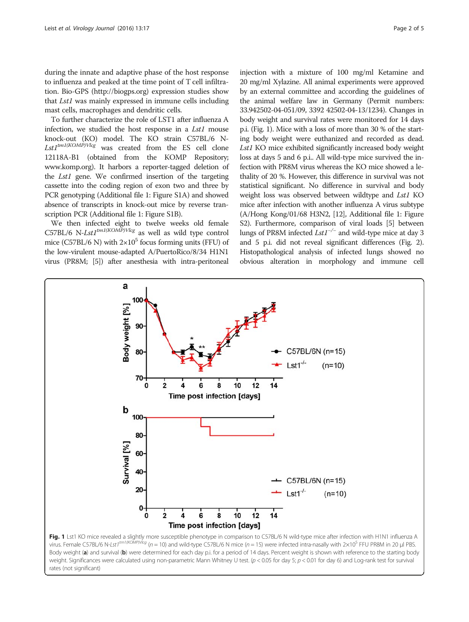during the innate and adaptive phase of the host response to influenza and peaked at the time point of T cell infiltration. Bio-GPS [\(http://biogps.org\)](http://biogps.org/) expression studies show that Lst1 was mainly expressed in immune cells including mast cells, macrophages and dendritic cells.

To further characterize the role of LST1 after influenza A infection, we studied the host response in a Lst1 mouse knock-out (KO) model. The KO strain C57BL/6 N- $Lst1^{tm1(KOMP)Vlcg}$  was created from the ES cell clone 12118A-B1 (obtained from the KOMP Repository; [www.komp.org](http://www.komp.org/)). It harbors a reporter-tagged deletion of the Lst1 gene. We confirmed insertion of the targeting cassette into the coding region of exon two and three by PCR genotyping (Additional file [1](#page-3-0): Figure S1A) and showed absence of transcripts in knock-out mice by reverse transcription PCR (Additional file [1:](#page-3-0) Figure S1B).

We then infected eight to twelve weeks old female C57BL/6 N-Lst1<sup>tm1(KOMP)Vlcg</sup> as well as wild type control mice (C57BL/6 N) with  $2\times10^5$  focus forming units (FFU) of the low-virulent mouse-adapted A/PuertoRico/8/34 H1N1 virus (PR8M; [\[5](#page--1-0)]) after anesthesia with intra-peritoneal

injection with a mixture of 100 mg/ml Ketamine and 20 mg/ml Xylazine. All animal experiments were approved by an external committee and according the guidelines of the animal welfare law in Germany (Permit numbers: 33.942502-04-051/09, 3392 42502-04-13/1234). Changes in body weight and survival rates were monitored for 14 days p.i. (Fig. 1). Mice with a loss of more than 30 % of the starting body weight were euthanized and recorded as dead. Lst1 KO mice exhibited significantly increased body weight loss at days 5 and 6 p.i.. All wild-type mice survived the infection with PR8M virus whereas the KO mice showed a lethality of 20 %. However, this difference in survival was not statistical significant. No difference in survival and body weight loss was observed between wildtype and Lst1 KO mice after infection with another influenza A virus subtype (A/Hong Kong/01/68 H3N2, [\[12](#page--1-0)], Additional file [1](#page-3-0): Figure S2). Furthermore, comparison of viral loads [[5](#page--1-0)] between lungs of PR8M infected  $Lst1^{-/-}$  and wild-type mice at day 3 and 5 p.i. did not reveal significant differences (Fig. [2](#page-2-0)). Histopathological analysis of infected lungs showed no obvious alteration in morphology and immune cell



Body weight (a) and survival (b) were determined for each day p.i. for a period of 14 days. Percent weight is shown with reference to the starting body weight. Significances were calculated using non-parametric Mann Whitney U test. ( $p < 0.05$  for day 5;  $p < 0.01$  for day 6) and Log-rank test for survival rates (not significant)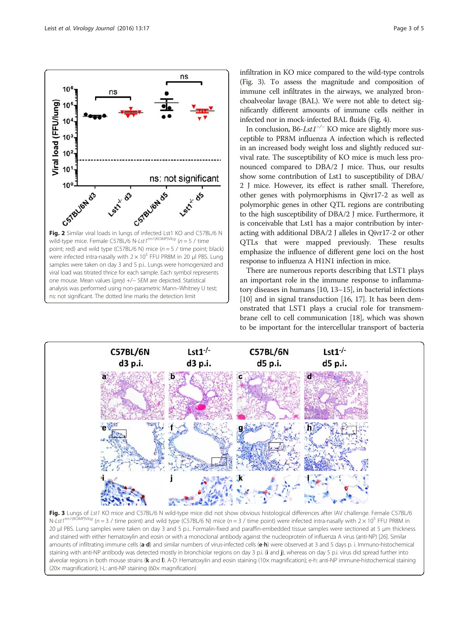<span id="page-2-0"></span>

infiltration in KO mice compared to the wild-type controls (Fig. 3). To assess the magnitude and composition of immune cell infiltrates in the airways, we analyzed bronchoalveolar lavage (BAL). We were not able to detect significantly different amounts of immune cells neither in infected nor in mock-infected BAL fluids (Fig. [4\)](#page-3-0).

In conclusion, B6-Lst1<sup>-/-</sup> KO mice are slightly more susceptible to PR8M influenza A infection which is reflected in an increased body weight loss and slightly reduced survival rate. The susceptibility of KO mice is much less pronounced compared to DBA/2 J mice. Thus, our results show some contribution of Lst1 to susceptibility of DBA/ 2 J mice. However, its effect is rather small. Therefore, other genes with polymorphisms in Qivr17-2 as well as polymorphic genes in other QTL regions are contributing to the high susceptibility of DBA/2 J mice. Furthermore, it is conceivable that Lst1 has a major contribution by interacting with additional DBA/2 J alleles in Qivr17-2 or other QTLs that were mapped previously. These results emphasize the influence of different gene loci on the host response to influenza A H1N1 infection in mice.

There are numerous reports describing that LST1 plays an important role in the immune response to inflammatory diseases in humans [[10](#page--1-0), [13](#page--1-0)–[15](#page--1-0)], in bacterial infections [[10](#page--1-0)] and in signal transduction [\[16, 17\]](#page--1-0). It has been demonstrated that LST1 plays a crucial role for transmembrane cell to cell communication [[18](#page--1-0)], which was shown to be important for the intercellular transport of bacteria



Fig. 3 Lungs of Lst1 KO mice and C57BL/6 N wild-type mice did not show obvious histological differences after IAV challenge. Female C57BL/6 N-Lst1<sup>tm1(KOMP)Vlcg</sup> (n = 3 / time point) and wild type (C57BL/6 N) mice (n = 3 / time point) were infected intra-nasally with  $2 \times 10^5$  FFU PR8M in 20 μl PBS. Lung samples were taken on day 3 and 5 p.i.. Formalin-fixed and paraffin-embedded tissue samples were sectioned at 5 μm thickness and stained with either hematoxylin and eosin or with a monoclonal antibody against the nucleoprotein of influenza A virus (anti-NP) [\[26\]](#page--1-0). Similar amounts of infiltrating immune cells (a-d) and similar numbers of virus-infected cells (e-h) were observed at 3 and 5 days p. i. Immuno-histochemical staining with anti-NP antibody was detected mostly in bronchiolar regions on day 3 p.i. (i and j), whereas on day 5 p.i. virus did spread further into alveolar regions in both mouse strains (k and I). A-D: Hematoxylin and eosin staining (10x magnification); e-h: anti-NP immune-histochemical staining (20× magnification); I-L: anti-NP staining (60× magnification)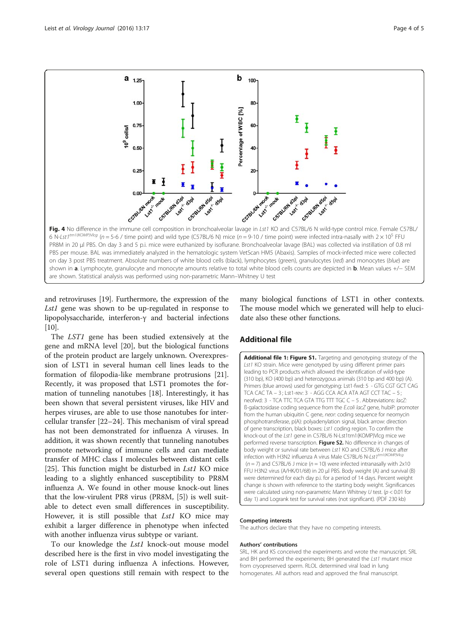<span id="page-3-0"></span>

and retroviruses [[19\]](#page--1-0). Furthermore, the expression of the Lst1 gene was shown to be up-regulated in response to lipopolysaccharide, interferon-γ and bacterial infections  $[10]$  $[10]$  $[10]$ .

The LST1 gene has been studied extensively at the gene and mRNA level [\[20](#page--1-0)], but the biological functions of the protein product are largely unknown. Overexpression of LST1 in several human cell lines leads to the formation of filopodia-like membrane protrusions [\[21](#page--1-0)]. Recently, it was proposed that LST1 promotes the formation of tunneling nanotubes [\[18\]](#page--1-0). Interestingly, it has been shown that several persistent viruses, like HIV and herpes viruses, are able to use those nanotubes for intercellular transfer [\[22](#page--1-0)–[24\]](#page--1-0). This mechanism of viral spread has not been demonstrated for influenza A viruses. In addition, it was shown recently that tunneling nanotubes promote networking of immune cells and can mediate transfer of MHC class I molecules between distant cells [[25\]](#page--1-0). This function might be disturbed in  $Lst1$  KO mice leading to a slightly enhanced susceptibility to PR8M influenza A. We found in other mouse knock-out lines that the low-virulent PR8 virus (PR8M, [[5](#page--1-0)]) is well suitable to detect even small differences in susceptibility. However, it is still possible that *Lst1* KO mice may exhibit a larger difference in phenotype when infected with another influenza virus subtype or variant.

To our knowledge the Lst1 knock-out mouse model described here is the first in vivo model investigating the role of LST1 during influenza A infections. However, several open questions still remain with respect to the

many biological functions of LST1 in other contexts. The mouse model which we generated will help to elucidate also these other functions.

## Additional file

[Additional file 1: Figure S1.](dx.doi.org/10.1186/s12985-016-0471-0) Targeting and genotyping strategy of the Lst1 KO strain. Mice were genotyped by using different primer pairs leading to PCR products which allowed the identification of wild-type (310 bp), KO (400 bp) and heterozygous animals (310 bp and 400 bp) (A). Primers (blue arrows) used for genotyping: Lst1-fwd: 5′ - GTG CGT GCT CAG TCA CAC TA – 3′; Lst1-rev: 3′ - AGG CCA ACA ATA AGT CCT TAC – 5′; neofwd: 3′ - TCA TTC TCA GTA TTG TTT TGC C – 5′. Abbreviations: lacZ: ß-galactosidase coding sequence from the E.coli lacZ gene, hubiP: promoter from the human ubiquitin C gene, neor: coding sequence for neomycin phosphotransferase, p(A): polyadenylation signal, black arrow: direction of gene transcription, black boxes: Lst1 coding region. To confirm the knock-out of the Lst1 gene in C57BL/6 N-Lst1tm1(KOMP)Vlcg mice we performed reverse transcription. Figure S2. No difference in changes of body weight or survival rate between Lst1 KO and C57BL/6 J mice after infection with H3N2 influenza A virus Male C57BL/6 N-Lst1<sup>tm1(KOMP)Vlcg</sup> ( $n = 7$ ) and C57BL/6 J mice ( $n = 10$ ) were infected intranasally with  $2x10<sup>3</sup>$ FFU H3N2 virus (A/HK/01/68) in 20 μl PBS. Body weight (A) and survival (B) were determined for each day p.i. for a period of 14 days. Percent weight change is shown with reference to the starting body weight. Significances were calculated using non-parametric Mann Whitney  $U$  test. ( $p < 0.01$  for day 1) and Logrank test for survival rates (not significant). (PDF 230 kb)

#### Competing interests

The authors declare that they have no competing interests.

#### Authors' contributions

SRL, HK and KS conceived the experiments and wrote the manuscript. SRL and BH performed the experiments; BH generated the Lst1 mutant mice from cryopreserved sperm. RLOL determined viral load in lung homogenates. All authors read and approved the final manuscript.